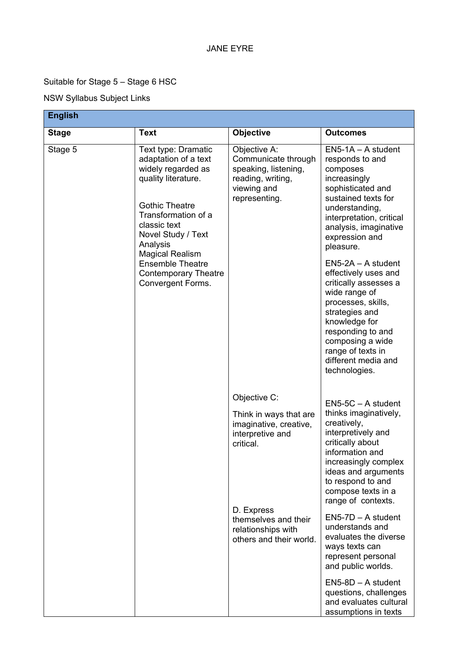## JANE EYRE

## Suitable for Stage 5 – Stage 6 HSC

## NSW Syllabus Subject Links

| English      |                                                                                                                                                                                                                                                                                                            |                                                                                                                  |                                                                                                                                                                                                                                                                                                                                                                                                                                                                                |  |
|--------------|------------------------------------------------------------------------------------------------------------------------------------------------------------------------------------------------------------------------------------------------------------------------------------------------------------|------------------------------------------------------------------------------------------------------------------|--------------------------------------------------------------------------------------------------------------------------------------------------------------------------------------------------------------------------------------------------------------------------------------------------------------------------------------------------------------------------------------------------------------------------------------------------------------------------------|--|
| <b>Stage</b> | <b>Text</b>                                                                                                                                                                                                                                                                                                | <b>Objective</b>                                                                                                 | <b>Outcomes</b>                                                                                                                                                                                                                                                                                                                                                                                                                                                                |  |
| Stage 5      | Text type: Dramatic<br>adaptation of a text<br>widely regarded as<br>quality literature.<br><b>Gothic Theatre</b><br>Transformation of a<br>classic text<br>Novel Study / Text<br>Analysis<br><b>Magical Realism</b><br><b>Ensemble Theatre</b><br><b>Contemporary Theatre</b><br><b>Convergent Forms.</b> | Objective A:<br>Communicate through<br>speaking, listening,<br>reading, writing,<br>viewing and<br>representing. | $EN5-1A - A student$<br>responds to and<br>composes<br>increasingly<br>sophisticated and<br>sustained texts for<br>understanding,<br>interpretation, critical<br>analysis, imaginative<br>expression and<br>pleasure.<br>$EN5-2A - A student$<br>effectively uses and<br>critically assesses a<br>wide range of<br>processes, skills,<br>strategies and<br>knowledge for<br>responding to and<br>composing a wide<br>range of texts in<br>different media and<br>technologies. |  |
|              |                                                                                                                                                                                                                                                                                                            | Objective C:<br>Think in ways that are<br>imaginative, creative,<br>interpretive and<br>critical.                | $EN5-5C - A student$<br>thinks imaginatively,<br>creatively,<br>interpretively and<br>critically about<br>information and<br>increasingly complex<br>ideas and arguments<br>to respond to and<br>compose texts in a<br>range of contexts.                                                                                                                                                                                                                                      |  |
|              |                                                                                                                                                                                                                                                                                                            | D. Express<br>themselves and their<br>relationships with<br>others and their world.                              | $EN5-7D - A student$<br>understands and<br>evaluates the diverse<br>ways texts can<br>represent personal<br>and public worlds.                                                                                                                                                                                                                                                                                                                                                 |  |
|              |                                                                                                                                                                                                                                                                                                            |                                                                                                                  | $EN5-8D - A student$<br>questions, challenges<br>and evaluates cultural<br>assumptions in texts                                                                                                                                                                                                                                                                                                                                                                                |  |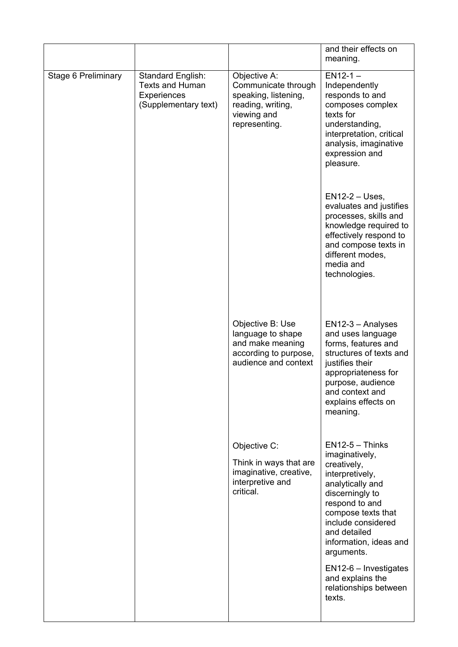|                            |                                                                                           |                                                                                                                  | and their effects on<br>meaning.                                                                                                                                                                                                   |
|----------------------------|-------------------------------------------------------------------------------------------|------------------------------------------------------------------------------------------------------------------|------------------------------------------------------------------------------------------------------------------------------------------------------------------------------------------------------------------------------------|
| <b>Stage 6 Preliminary</b> | <b>Standard English:</b><br><b>Texts and Human</b><br>Experiences<br>(Supplementary text) | Objective A:<br>Communicate through<br>speaking, listening,<br>reading, writing,<br>viewing and<br>representing. | $EN12-1 -$<br>Independently<br>responds to and<br>composes complex<br>texts for<br>understanding,<br>interpretation, critical<br>analysis, imaginative<br>expression and<br>pleasure.                                              |
|                            |                                                                                           |                                                                                                                  | $EN12-2 - Uses,$<br>evaluates and justifies<br>processes, skills and<br>knowledge required to<br>effectively respond to<br>and compose texts in<br>different modes,<br>media and<br>technologies.                                  |
|                            |                                                                                           | Objective B: Use<br>language to shape<br>and make meaning<br>according to purpose,<br>audience and context       | EN12-3 - Analyses<br>and uses language<br>forms, features and<br>structures of texts and<br>justifies their<br>appropriateness for<br>purpose, audience<br>and context and<br>explains effects on<br>meaning.                      |
|                            |                                                                                           | Objective C:<br>Think in ways that are<br>imaginative, creative,<br>interpretive and<br>critical.                | $EN12-5 - Thinks$<br>imaginatively,<br>creatively,<br>interpretively,<br>analytically and<br>discerningly to<br>respond to and<br>compose texts that<br>include considered<br>and detailed<br>information, ideas and<br>arguments. |
|                            |                                                                                           |                                                                                                                  | $EN12-6$ – Investigates<br>and explains the<br>relationships between<br>texts.                                                                                                                                                     |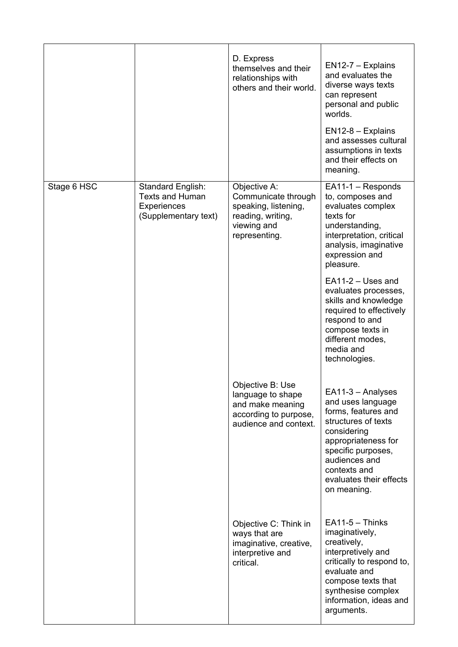|             |                                                                                                  | D. Express<br>themselves and their<br>relationships with<br>others and their world.                              | $EN12-7 - Explains$<br>and evaluates the<br>diverse ways texts<br>can represent<br>personal and public<br>worlds.<br>$EN12-8 - Explains$<br>and assesses cultural<br>assumptions in texts                                   |
|-------------|--------------------------------------------------------------------------------------------------|------------------------------------------------------------------------------------------------------------------|-----------------------------------------------------------------------------------------------------------------------------------------------------------------------------------------------------------------------------|
|             |                                                                                                  |                                                                                                                  | and their effects on<br>meaning.                                                                                                                                                                                            |
| Stage 6 HSC | <b>Standard English:</b><br><b>Texts and Human</b><br><b>Experiences</b><br>(Supplementary text) | Objective A:<br>Communicate through<br>speaking, listening,<br>reading, writing,<br>viewing and<br>representing. | $EA11-1 - Responds$<br>to, composes and<br>evaluates complex<br>texts for<br>understanding,<br>interpretation, critical<br>analysis, imaginative<br>expression and<br>pleasure.                                             |
|             |                                                                                                  |                                                                                                                  | $EA11-2 -$ Uses and<br>evaluates processes,<br>skills and knowledge<br>required to effectively<br>respond to and<br>compose texts in<br>different modes,<br>media and<br>technologies.                                      |
|             |                                                                                                  | Objective B: Use<br>language to shape<br>and make meaning<br>according to purpose,<br>audience and context.      | EA11-3 - Analyses<br>and uses language<br>forms, features and<br>structures of texts<br>considering<br>appropriateness for<br>specific purposes,<br>audiences and<br>contexts and<br>evaluates their effects<br>on meaning. |
|             |                                                                                                  | Objective C: Think in<br>ways that are<br>imaginative, creative,<br>interpretive and<br>critical.                | $EA11-5 - Thinks$<br>imaginatively,<br>creatively,<br>interpretively and<br>critically to respond to,<br>evaluate and<br>compose texts that<br>synthesise complex<br>information, ideas and<br>arguments.                   |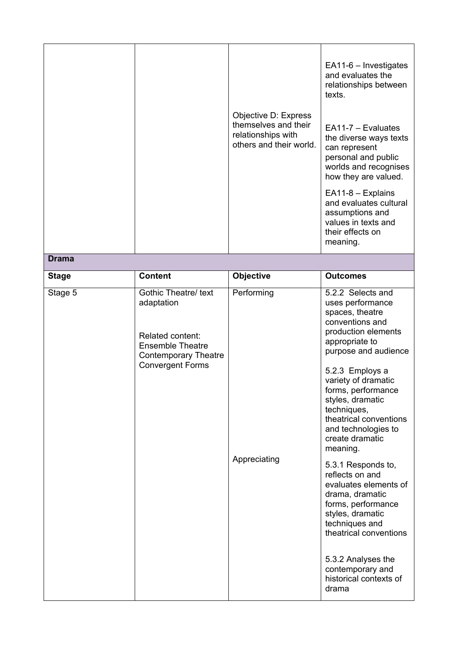|              |                                                                                                                                             | Objective D: Express<br>themselves and their<br>relationships with<br>others and their world. | EA11-6 - Investigates<br>and evaluates the<br>relationships between<br>texts.<br>$EA11-7 - Evaluate$<br>the diverse ways texts<br>can represent                                                                                                                                                                                                                                                                                                                                                                                                                                         |
|--------------|---------------------------------------------------------------------------------------------------------------------------------------------|-----------------------------------------------------------------------------------------------|-----------------------------------------------------------------------------------------------------------------------------------------------------------------------------------------------------------------------------------------------------------------------------------------------------------------------------------------------------------------------------------------------------------------------------------------------------------------------------------------------------------------------------------------------------------------------------------------|
|              |                                                                                                                                             |                                                                                               | personal and public<br>worlds and recognises<br>how they are valued.<br>EA11-8 - Explains<br>and evaluates cultural<br>assumptions and<br>values in texts and<br>their effects on<br>meaning.                                                                                                                                                                                                                                                                                                                                                                                           |
| <b>Drama</b> |                                                                                                                                             |                                                                                               |                                                                                                                                                                                                                                                                                                                                                                                                                                                                                                                                                                                         |
| <b>Stage</b> | <b>Content</b>                                                                                                                              | Objective                                                                                     | <b>Outcomes</b>                                                                                                                                                                                                                                                                                                                                                                                                                                                                                                                                                                         |
| Stage 5      | Gothic Theatre/ text<br>adaptation<br>Related content:<br><b>Ensemble Theatre</b><br><b>Contemporary Theatre</b><br><b>Convergent Forms</b> | Performing<br>Appreciating                                                                    | 5.2.2 Selects and<br>uses performance<br>spaces, theatre<br>conventions and<br>production elements<br>appropriate to<br>purpose and audience<br>5.2.3 Employs a<br>variety of dramatic<br>forms, performance<br>styles, dramatic<br>techniques,<br>theatrical conventions<br>and technologies to<br>create dramatic<br>meaning.<br>5.3.1 Responds to,<br>reflects on and<br>evaluates elements of<br>drama, dramatic<br>forms, performance<br>styles, dramatic<br>techniques and<br>theatrical conventions<br>5.3.2 Analyses the<br>contemporary and<br>historical contexts of<br>drama |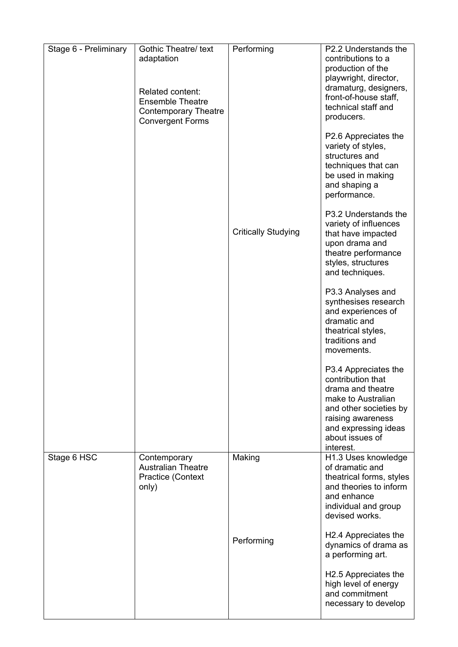| Stage 6 - Preliminary | <b>Gothic Theatre/ text</b><br>adaptation<br><b>Related content:</b><br><b>Ensemble Theatre</b><br><b>Contemporary Theatre</b><br><b>Convergent Forms</b> | Performing<br><b>Critically Studying</b> | P2.2 Understands the<br>contributions to a<br>production of the<br>playwright, director,<br>dramaturg, designers,<br>front-of-house staff,<br>technical staff and<br>producers.<br>P2.6 Appreciates the<br>variety of styles,<br>structures and<br>techniques that can<br>be used in making<br>and shaping a<br>performance.<br>P3.2 Understands the<br>variety of influences<br>that have impacted<br>upon drama and<br>theatre performance<br>styles, structures<br>and techniques.<br>P3.3 Analyses and<br>synthesises research<br>and experiences of<br>dramatic and<br>theatrical styles,<br>traditions and<br>movements.<br>P3.4 Appreciates the<br>contribution that<br>drama and theatre<br>make to Australian<br>and other societies by<br>raising awareness<br>and expressing ideas<br>about issues of |
|-----------------------|-----------------------------------------------------------------------------------------------------------------------------------------------------------|------------------------------------------|------------------------------------------------------------------------------------------------------------------------------------------------------------------------------------------------------------------------------------------------------------------------------------------------------------------------------------------------------------------------------------------------------------------------------------------------------------------------------------------------------------------------------------------------------------------------------------------------------------------------------------------------------------------------------------------------------------------------------------------------------------------------------------------------------------------|
| Stage 6 HSC           | Contemporary<br><b>Australian Theatre</b><br>Practice (Context<br>only)                                                                                   | Making<br>Performing                     | interest.<br>H1.3 Uses knowledge<br>of dramatic and<br>theatrical forms, styles<br>and theories to inform<br>and enhance<br>individual and group<br>devised works.<br>H <sub>2.4</sub> Appreciates the<br>dynamics of drama as<br>a performing art.<br>H <sub>2.5</sub> Appreciates the<br>high level of energy<br>and commitment<br>necessary to develop                                                                                                                                                                                                                                                                                                                                                                                                                                                        |